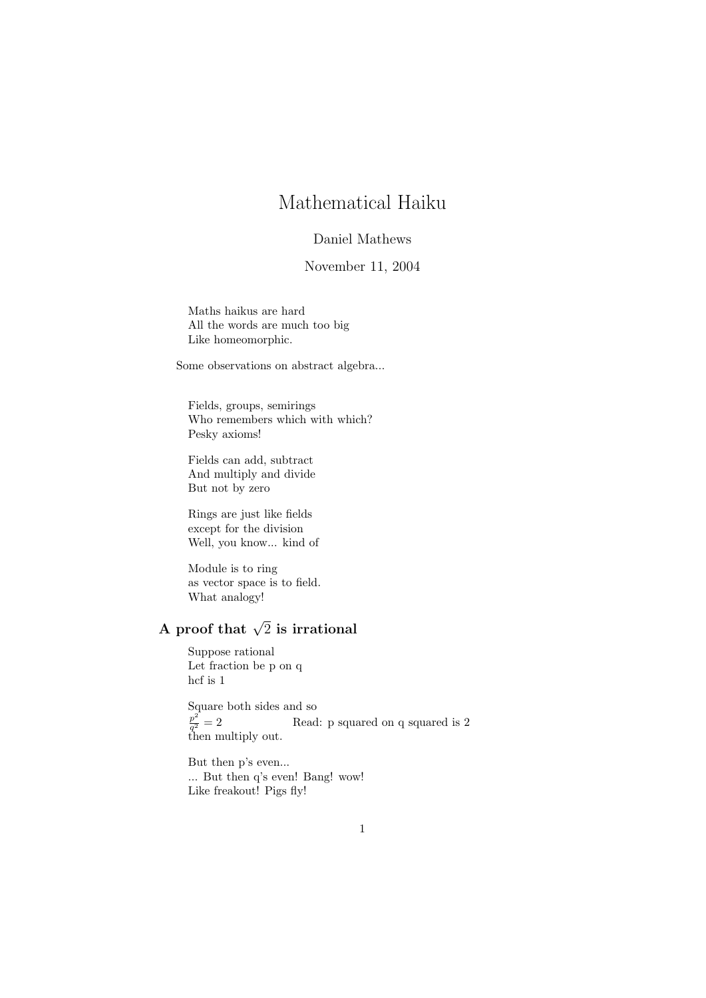## Mathematical Haiku

### Daniel Mathews

#### November 11, 2004

Maths haikus are hard All the words are much too big Like homeomorphic.

Some observations on abstract algebra...

Fields, groups, semirings Who remembers which with which? Pesky axioms!

Fields can add, subtract And multiply and divide But not by zero

Rings are just like fields except for the division Well, you know... kind of

Module is to ring as vector space is to field. What analogy!

# A proof that  $\sqrt{2}$  is irrational

Suppose rational Let fraction be p on q hcf is 1

Square both sides and so  $p^2$  $q^2$  – 2<br>then multiply out. Read: p squared on q squared is 2

But then p's even... ... But then q's even! Bang! wow! Like freakout! Pigs fly!